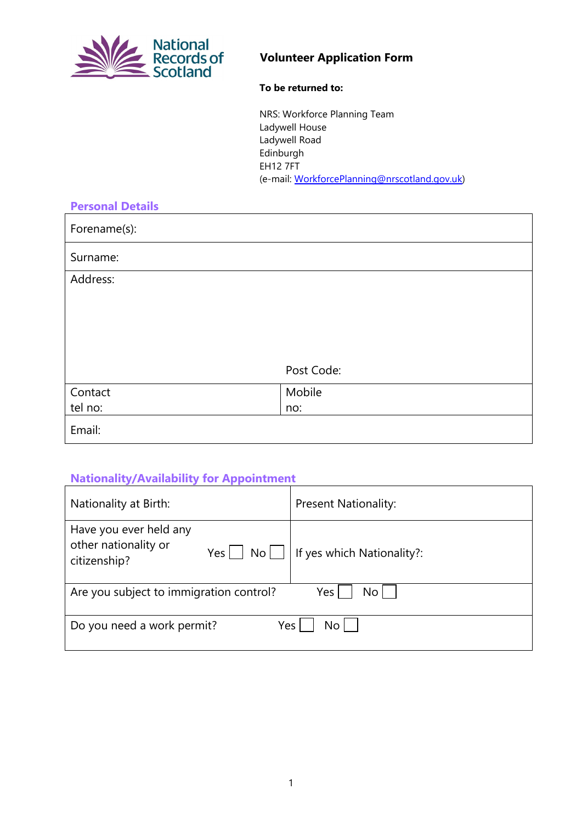

## **Volunteer Application Form**

#### **To be returned to:**

NRS: Workforce Planning Team Ladywell House Ladywell Road Edinburgh EH12 7FT (e-mail: [WorkforcePlanning@nrscotland.gov.uk\)](mailto:WorkforcePlanning@nrscotland.gov.uk?subject=Volunteer%20Scheme)

| <b>Personal Details</b> |            |
|-------------------------|------------|
| Forename(s):            |            |
| Surname:                |            |
| Address:                |            |
|                         |            |
|                         |            |
|                         |            |
|                         |            |
|                         | Post Code: |
| Contact                 | Mobile     |
| tel no:                 | no:        |
| Email:                  |            |

# **Nationality/Availability for Appointment**

| Nationality at Birth:                                                                | <b>Present Nationality:</b> |  |
|--------------------------------------------------------------------------------------|-----------------------------|--|
| Have you ever held any<br>other nationality or<br>$Yes \mid$<br>No l<br>citizenship? | If yes which Nationality?:  |  |
| Are you subject to immigration control?<br>No l<br>Yes                               |                             |  |
| Do you need a work permit?<br>Yes<br>N٥                                              |                             |  |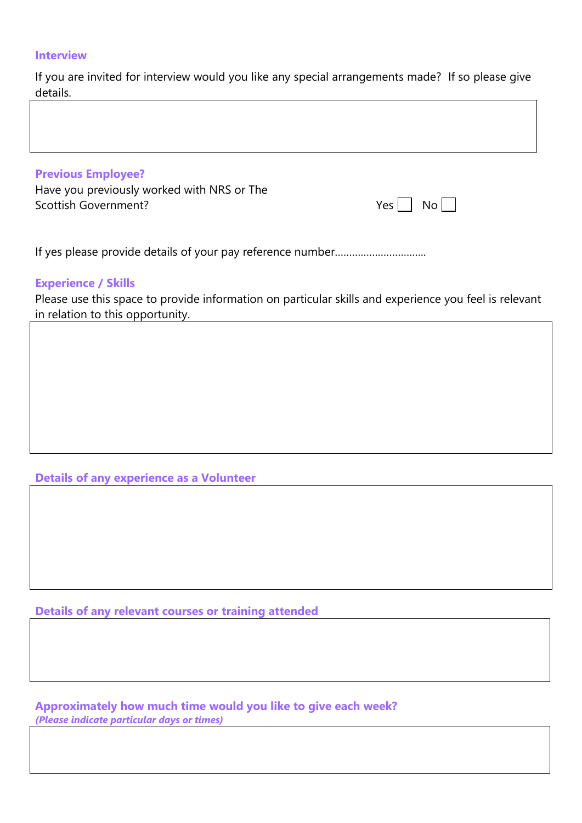#### **Interview**

If you are invited for interview would you like any special arrangements made? If so please give details.

| <b>Previous Employee?</b><br>Have you previously worked with NRS or The<br>Scottish Government? | $Yes \mid No \mid$ |
|-------------------------------------------------------------------------------------------------|--------------------|
|                                                                                                 |                    |

## **Experience / Skills**

Please use this space to provide information on particular skills and experience you feel is relevant in relation to this opportunity.

**Details of any experience as a Volunteer** 

**Details of any relevant courses or training attended**

**Approximately how much time would you like to give each week?** *(Please indicate particular days or times)*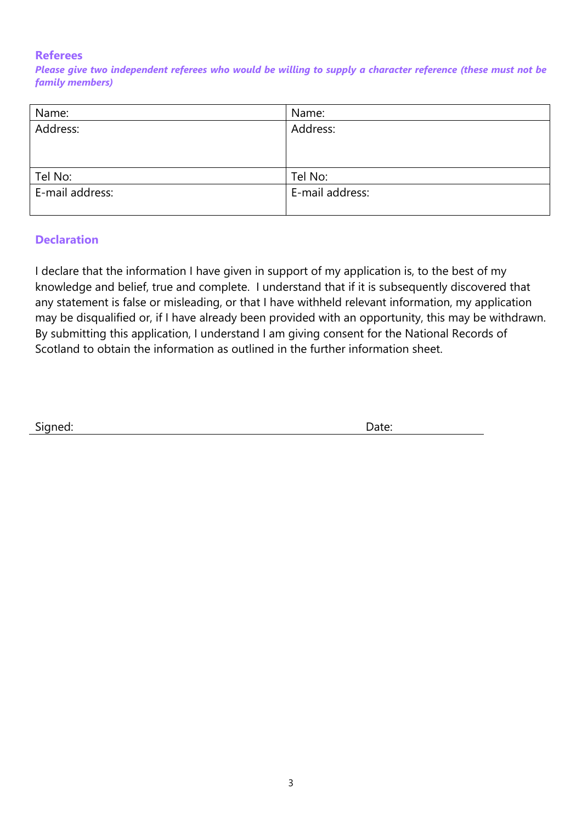## **Referees**

*Please give two independent referees who would be willing to supply a character reference (these must not be family members)*

| Name:           | Name:           |
|-----------------|-----------------|
| Address:        | Address:        |
|                 |                 |
|                 |                 |
| Tel No:         | Tel No:         |
| E-mail address: | E-mail address: |
|                 |                 |

## **Declaration**

I declare that the information I have given in support of my application is, to the best of my knowledge and belief, true and complete. I understand that if it is subsequently discovered that any statement is false or misleading, or that I have withheld relevant information, my application may be disqualified or, if I have already been provided with an opportunity, this may be withdrawn. By submitting this application, I understand I am giving consent for the National Records of Scotland to obtain the information as outlined in the further information sheet.

| Signed: | Date: |
|---------|-------|